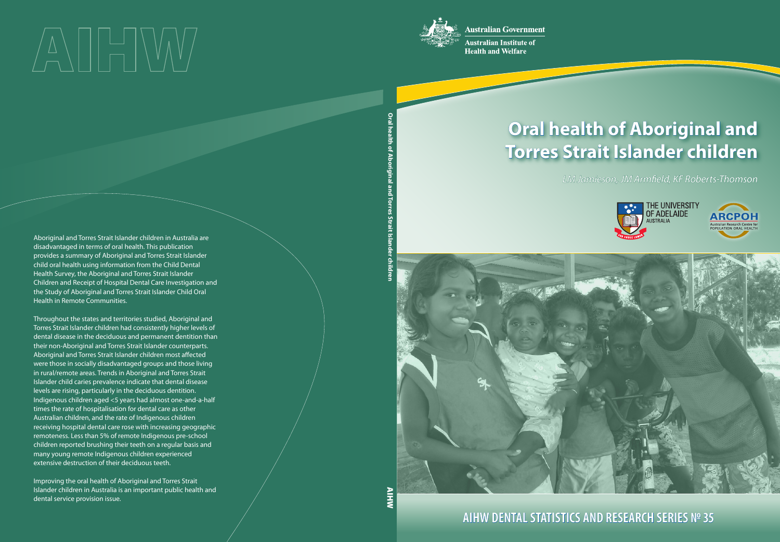**Australian Government** 



**Australian Institute of Health and Welfare** 

# **Oral health of Aboriginal and Torres Strait Islander children**

*LM Jamieson, JM Armeld, KF Roberts-Thomson*





**AIHW DENTAL STATISTICS AND RESEARCH SERIES № 35**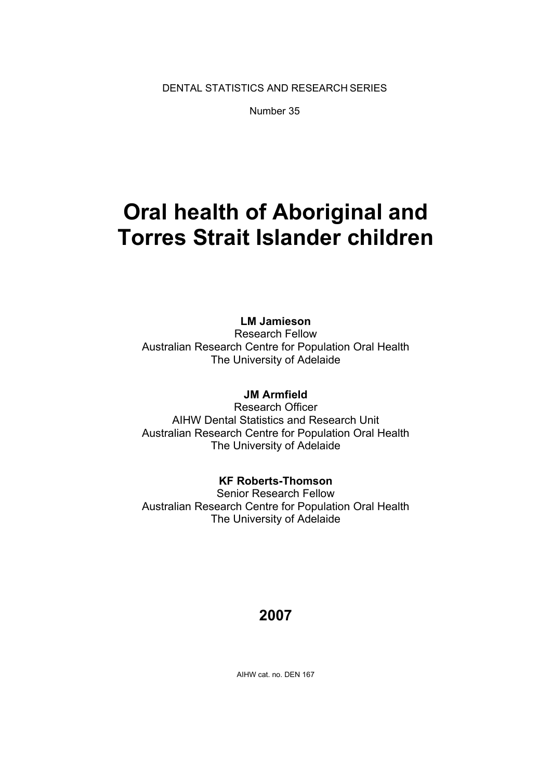DENTAL STATISTICS AND RESEARCH SERIES

Number 35

### **Oral health of Aboriginal and Torres Strait Islander children**

**LM Jamieson** 

Research Fellow Australian Research Centre for Population Oral Health The University of Adelaide

#### **JM Armfield**

Research Officer AIHW Dental Statistics and Research Unit Australian Research Centre for Population Oral Health The University of Adelaide

#### **KF Roberts-Thomson**

Senior Research Fellow Australian Research Centre for Population Oral Health The University of Adelaide

#### **2007**

AIHW cat. no. DEN 167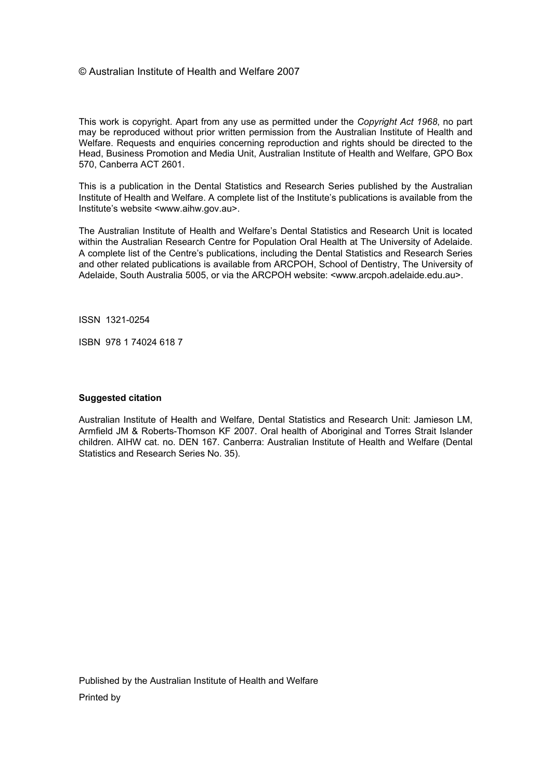#### © Australian Institute of Health and Welfare 2007

This work is copyright. Apart from any use as permitted under the *Copyright Act 1968*, no part may be reproduced without prior written permission from the Australian Institute of Health and Welfare. Requests and enquiries concerning reproduction and rights should be directed to the Head, Business Promotion and Media Unit, Australian Institute of Health and Welfare, GPO Box 570, Canberra ACT 2601.

This is a publication in the Dental Statistics and Research Series published by the Australian Institute of Health and Welfare. A complete list of the Institute's publications is available from the Institute's website <www.aihw.gov.au>.

The Australian Institute of Health and Welfare's Dental Statistics and Research Unit is located within the Australian Research Centre for Population Oral Health at The University of Adelaide. A complete list of the Centre's publications, including the Dental Statistics and Research Series and other related publications is available from ARCPOH, School of Dentistry, The University of Adelaide, South Australia 5005, or via the ARCPOH website: <www.arcpoh.adelaide.edu.au>.

ISSN 1321-0254

ISBN 978 1 74024 618 7

#### **Suggested citation**

Australian Institute of Health and Welfare, Dental Statistics and Research Unit: Jamieson LM, Armfield JM & Roberts-Thomson KF 2007. Oral health of Aboriginal and Torres Strait Islander children. AIHW cat. no. DEN 167. Canberra: Australian Institute of Health and Welfare (Dental Statistics and Research Series No. 35).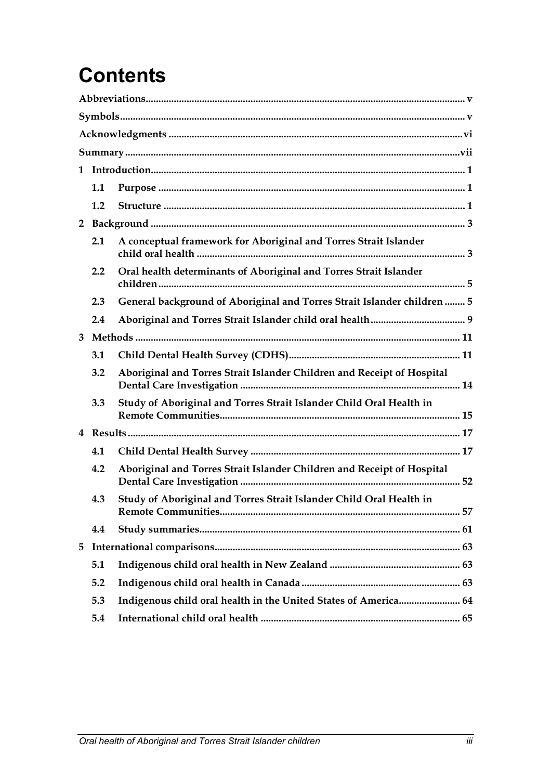# **Contents**

|                | 1.1 |                                                                         |  |  |
|----------------|-----|-------------------------------------------------------------------------|--|--|
|                | 1.2 |                                                                         |  |  |
| $\overline{2}$ |     |                                                                         |  |  |
|                | 2.1 | A conceptual framework for Aboriginal and Torres Strait Islander        |  |  |
|                | 2.2 | Oral health determinants of Aboriginal and Torres Strait Islander       |  |  |
|                | 2.3 | General background of Aboriginal and Torres Strait Islander children  5 |  |  |
|                | 2.4 |                                                                         |  |  |
| 3              |     |                                                                         |  |  |
|                | 3.1 |                                                                         |  |  |
|                | 3.2 | Aboriginal and Torres Strait Islander Children and Receipt of Hospital  |  |  |
|                | 3.3 | Study of Aboriginal and Torres Strait Islander Child Oral Health in     |  |  |
|                |     |                                                                         |  |  |
|                | 4.1 |                                                                         |  |  |
|                | 4.2 | Aboriginal and Torres Strait Islander Children and Receipt of Hospital  |  |  |
|                | 4.3 | Study of Aboriginal and Torres Strait Islander Child Oral Health in     |  |  |
|                | 4.4 |                                                                         |  |  |
| 5              |     |                                                                         |  |  |
|                | 5.1 |                                                                         |  |  |
|                | 5.2 |                                                                         |  |  |
|                | 5.3 | Indigenous child oral health in the United States of America 64         |  |  |
|                | 5.4 |                                                                         |  |  |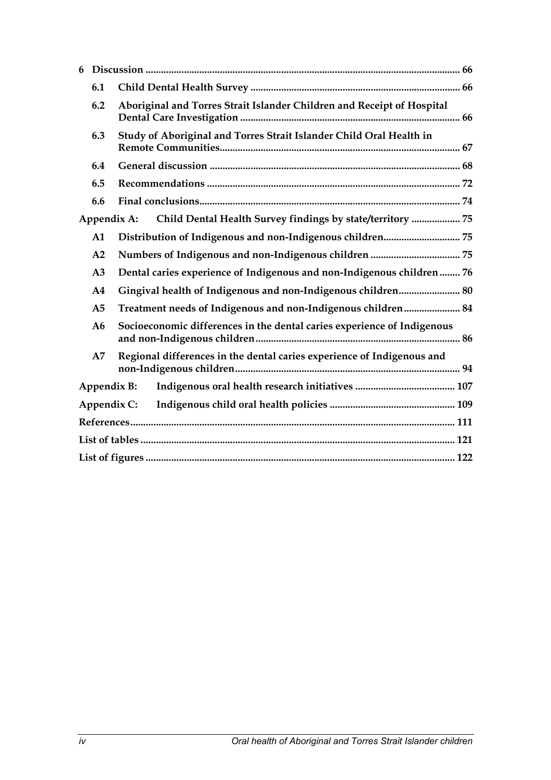| 6                                                                          |                |                                                                         |  |  |  |  |  |
|----------------------------------------------------------------------------|----------------|-------------------------------------------------------------------------|--|--|--|--|--|
|                                                                            | 6.1            |                                                                         |  |  |  |  |  |
|                                                                            | 6.2            | Aboriginal and Torres Strait Islander Children and Receipt of Hospital  |  |  |  |  |  |
| 6.3<br>Study of Aboriginal and Torres Strait Islander Child Oral Health in |                |                                                                         |  |  |  |  |  |
| 6.4                                                                        |                |                                                                         |  |  |  |  |  |
| 6.5                                                                        |                |                                                                         |  |  |  |  |  |
|                                                                            | 6.6            |                                                                         |  |  |  |  |  |
|                                                                            | Appendix A:    | Child Dental Health Survey findings by state/territory  75              |  |  |  |  |  |
|                                                                            | $\mathbf{A1}$  |                                                                         |  |  |  |  |  |
|                                                                            | A2             |                                                                         |  |  |  |  |  |
|                                                                            | A <sub>3</sub> | Dental caries experience of Indigenous and non-Indigenous children  76  |  |  |  |  |  |
|                                                                            | A4             | Gingival health of Indigenous and non-Indigenous children 80            |  |  |  |  |  |
|                                                                            | A <sub>5</sub> | Treatment needs of Indigenous and non-Indigenous children 84            |  |  |  |  |  |
|                                                                            | A6             | Socioeconomic differences in the dental caries experience of Indigenous |  |  |  |  |  |
|                                                                            | A7             | Regional differences in the dental caries experience of Indigenous and  |  |  |  |  |  |
| Appendix B:                                                                |                |                                                                         |  |  |  |  |  |
|                                                                            | Appendix C:    |                                                                         |  |  |  |  |  |
|                                                                            |                |                                                                         |  |  |  |  |  |
|                                                                            |                |                                                                         |  |  |  |  |  |
|                                                                            |                |                                                                         |  |  |  |  |  |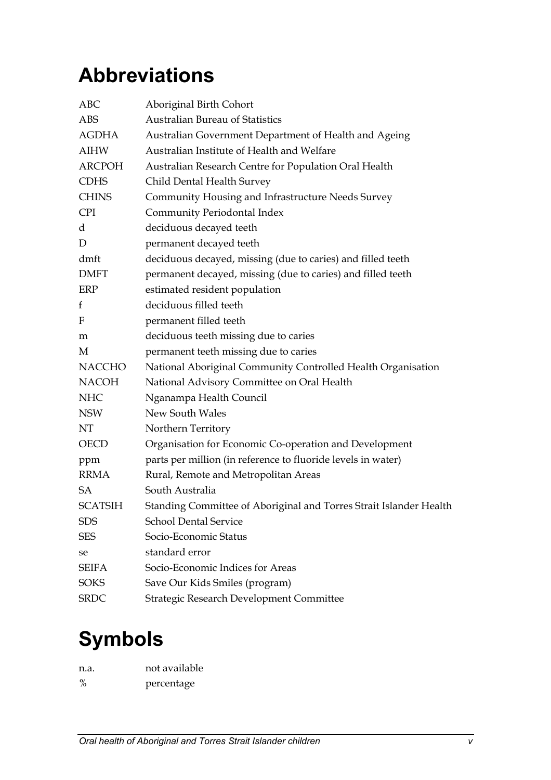### <span id="page-5-0"></span>**Abbreviations**

| <b>ABC</b>       | Aboriginal Birth Cohort                                            |
|------------------|--------------------------------------------------------------------|
| <b>ABS</b>       | <b>Australian Bureau of Statistics</b>                             |
| <b>AGDHA</b>     | Australian Government Department of Health and Ageing              |
| <b>AIHW</b>      | Australian Institute of Health and Welfare                         |
| <b>ARCPOH</b>    | Australian Research Centre for Population Oral Health              |
| <b>CDHS</b>      | Child Dental Health Survey                                         |
| <b>CHINS</b>     | Community Housing and Infrastructure Needs Survey                  |
| <b>CPI</b>       | Community Periodontal Index                                        |
| d                | deciduous decayed teeth                                            |
| D                | permanent decayed teeth                                            |
| dmft             | deciduous decayed, missing (due to caries) and filled teeth        |
| <b>DMFT</b>      | permanent decayed, missing (due to caries) and filled teeth        |
| ERP              | estimated resident population                                      |
| $f_{\rm}$        | deciduous filled teeth                                             |
| $\boldsymbol{F}$ | permanent filled teeth                                             |
| m                | deciduous teeth missing due to caries                              |
| M                | permanent teeth missing due to caries                              |
| <b>NACCHO</b>    | National Aboriginal Community Controlled Health Organisation       |
| <b>NACOH</b>     | National Advisory Committee on Oral Health                         |
| <b>NHC</b>       | Nganampa Health Council                                            |
| <b>NSW</b>       | New South Wales                                                    |
| NT               | Northern Territory                                                 |
| <b>OECD</b>      | Organisation for Economic Co-operation and Development             |
| ppm              | parts per million (in reference to fluoride levels in water)       |
| <b>RRMA</b>      | Rural, Remote and Metropolitan Areas                               |
| <b>SA</b>        | South Australia                                                    |
| <b>SCATSIH</b>   | Standing Committee of Aboriginal and Torres Strait Islander Health |
| <b>SDS</b>       | <b>School Dental Service</b>                                       |
| <b>SES</b>       | Socio-Economic Status                                              |
| se               | standard error                                                     |
| <b>SEIFA</b>     | Socio-Economic Indices for Areas                                   |
| <b>SOKS</b>      | Save Our Kids Smiles (program)                                     |
| <b>SRDC</b>      | Strategic Research Development Committee                           |

### **Symbols**

| n.a. | not available |
|------|---------------|
| $\%$ | percentage    |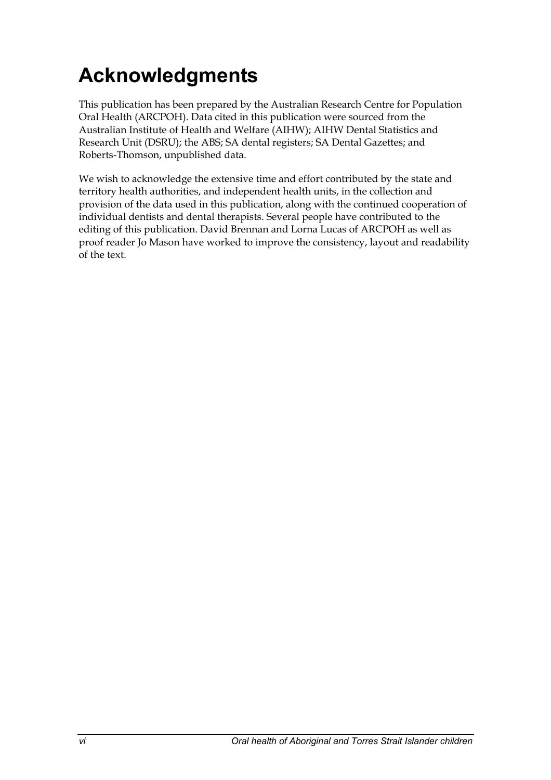### <span id="page-6-0"></span>**Acknowledgments**

This publication has been prepared by the Australian Research Centre for Population Oral Health (ARCPOH). Data cited in this publication were sourced from the Australian Institute of Health and Welfare (AIHW); AIHW Dental Statistics and Research Unit (DSRU); the ABS; SA dental registers; SA Dental Gazettes; and Roberts-Thomson, unpublished data.

We wish to acknowledge the extensive time and effort contributed by the state and territory health authorities, and independent health units, in the collection and provision of the data used in this publication, along with the continued cooperation of individual dentists and dental therapists. Several people have contributed to the editing of this publication. David Brennan and Lorna Lucas of ARCPOH as well as proof reader Jo Mason have worked to improve the consistency, layout and readability of the text.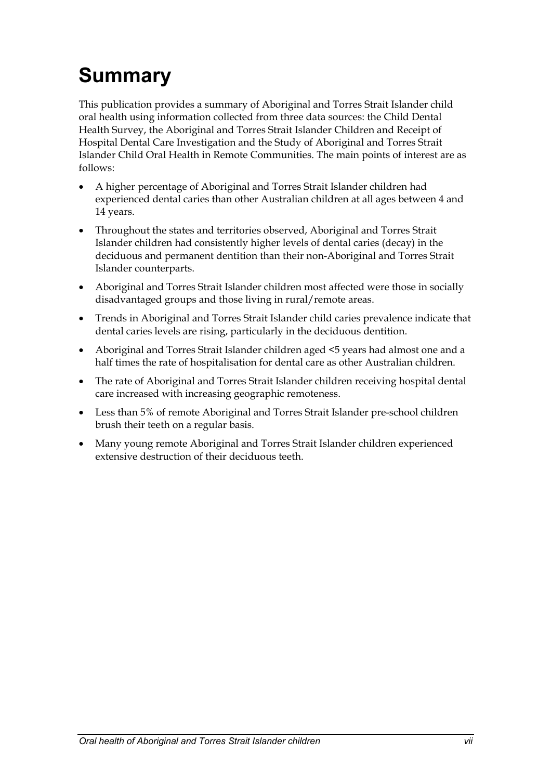# <span id="page-7-0"></span>**Summary**

This publication provides a summary of Aboriginal and Torres Strait Islander child oral health using information collected from three data sources: the Child Dental Health Survey, the Aboriginal and Torres Strait Islander Children and Receipt of Hospital Dental Care Investigation and the Study of Aboriginal and Torres Strait Islander Child Oral Health in Remote Communities. The main points of interest are as follows:

- A higher percentage of Aboriginal and Torres Strait Islander children had experienced dental caries than other Australian children at all ages between 4 and 14 years.
- Throughout the states and territories observed, Aboriginal and Torres Strait Islander children had consistently higher levels of dental caries (decay) in the deciduous and permanent dentition than their non-Aboriginal and Torres Strait Islander counterparts.
- Aboriginal and Torres Strait Islander children most affected were those in socially disadvantaged groups and those living in rural/remote areas.
- Trends in Aboriginal and Torres Strait Islander child caries prevalence indicate that dental caries levels are rising, particularly in the deciduous dentition.
- Aboriginal and Torres Strait Islander children aged <5 years had almost one and a half times the rate of hospitalisation for dental care as other Australian children.
- The rate of Aboriginal and Torres Strait Islander children receiving hospital dental care increased with increasing geographic remoteness.
- Less than 5% of remote Aboriginal and Torres Strait Islander pre-school children brush their teeth on a regular basis.
- Many young remote Aboriginal and Torres Strait Islander children experienced extensive destruction of their deciduous teeth.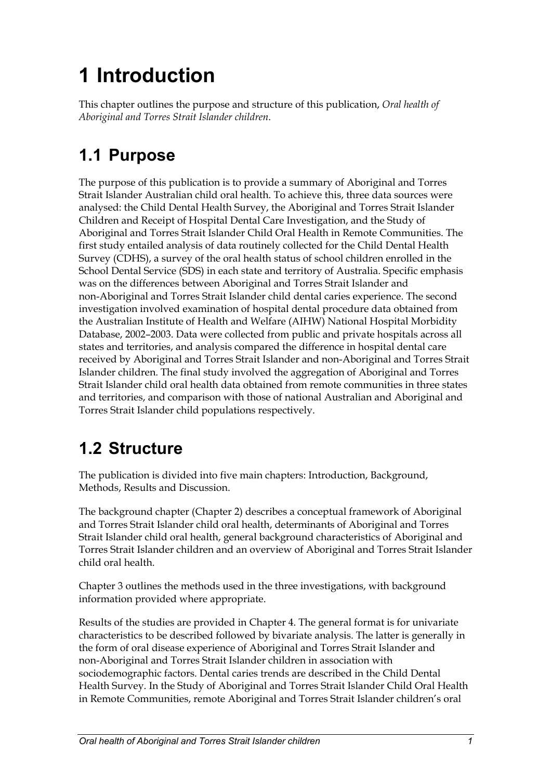# <span id="page-9-0"></span>**1 Introduction**

This chapter outlines the purpose and structure of this publication, *Oral health of Aboriginal and Torres Strait Islander children*.

#### **1.1 Purpose**

The purpose of this publication is to provide a summary of Aboriginal and Torres Strait Islander Australian child oral health. To achieve this, three data sources were analysed: the Child Dental Health Survey, the Aboriginal and Torres Strait Islander Children and Receipt of Hospital Dental Care Investigation, and the Study of Aboriginal and Torres Strait Islander Child Oral Health in Remote Communities. The first study entailed analysis of data routinely collected for the Child Dental Health Survey (CDHS), a survey of the oral health status of school children enrolled in the School Dental Service (SDS) in each state and territory of Australia. Specific emphasis was on the differences between Aboriginal and Torres Strait Islander and non-Aboriginal and Torres Strait Islander child dental caries experience. The second investigation involved examination of hospital dental procedure data obtained from the Australian Institute of Health and Welfare (AIHW) National Hospital Morbidity Database, 2002–2003. Data were collected from public and private hospitals across all states and territories, and analysis compared the difference in hospital dental care received by Aboriginal and Torres Strait Islander and non-Aboriginal and Torres Strait Islander children. The final study involved the aggregation of Aboriginal and Torres Strait Islander child oral health data obtained from remote communities in three states and territories, and comparison with those of national Australian and Aboriginal and Torres Strait Islander child populations respectively.

#### **1.2 Structure**

The publication is divided into five main chapters: Introduction, Background, Methods, Results and Discussion.

The background chapter (Chapter 2) describes a conceptual framework of Aboriginal and Torres Strait Islander child oral health, determinants of Aboriginal and Torres Strait Islander child oral health, general background characteristics of Aboriginal and Torres Strait Islander children and an overview of Aboriginal and Torres Strait Islander child oral health.

Chapter 3 outlines the methods used in the three investigations, with background information provided where appropriate.

Results of the studies are provided in Chapter 4. The general format is for univariate characteristics to be described followed by bivariate analysis. The latter is generally in the form of oral disease experience of Aboriginal and Torres Strait Islander and non-Aboriginal and Torres Strait Islander children in association with sociodemographic factors. Dental caries trends are described in the Child Dental Health Survey. In the Study of Aboriginal and Torres Strait Islander Child Oral Health in Remote Communities, remote Aboriginal and Torres Strait Islander children's oral